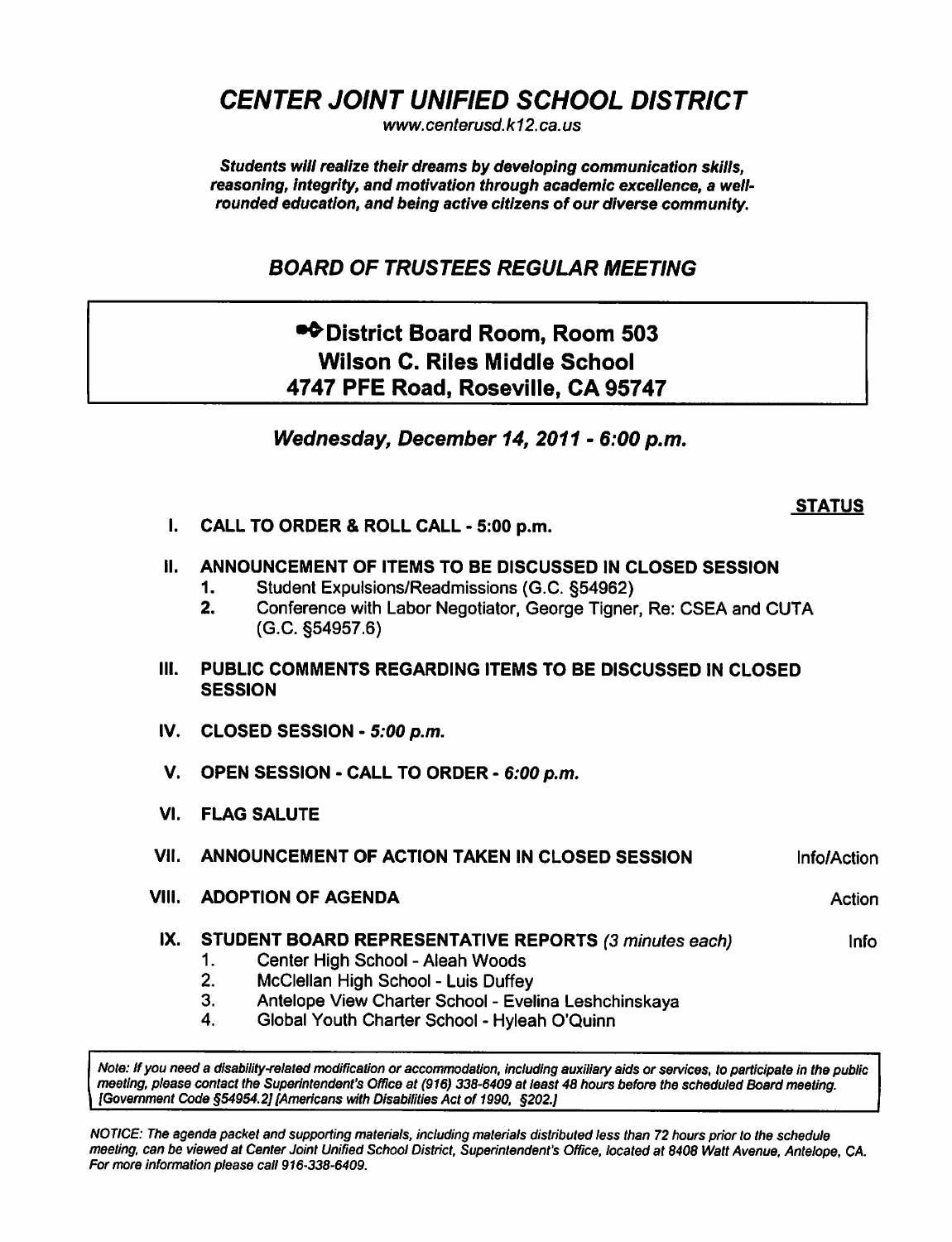CENTER JOINT UNIFIED SCHOOL DISTRICT

www. centerusd. k12. ca. us

Students will realize their dreams by developing communication skills, reasoning, integrity, and motivation through academic excellence, a wellrounded education, and being active citizens of our diverse community.

## BOARD OF TRUSTEES REGULAR MEETING

# •\* District Board Room, Room 503 Wilson C. Riles Middle School 4747 PFE Road, Roseville, CA 95747

Wednesday, December 14, 2011 - 6:00 p.m.

#### **STATUS**

I. CALL TO ORDER & ROLL CALL - 5:00 p.m.

#### II. ANNOUNCEMENT OF ITEMS TO BE DISCUSSED IN CLOSED SESSION

- 1. Student Expulsions/Readmissions (G.C. §54962)
- 2. Conference with Labor Negotiator, George Tigner, Re: CSEA and CUTA (G.C. §54957.6)
- III. PUBLIC COMMENTS REGARDING ITEMS TO BE DISCUSSED IN CLOSED **SESSION**
- IV. CLOSED SESSION  $5:00$  p.m.
- V. OPEN SESSION CALL TO ORDER 6:00 p.m.
- VI. FLAG SALUTE
- VII. ANNOUNCEMENT OF ACTION TAKEN IN CLOSED SESSION Info/Action
- VIII. ADOPTION OF AGENDA Action Action Action
- IX. STUDENT BOARD REPRESENTATIVE REPORTS (3 minutes each) lnfo
	- 1. Center High School Aleah Woods
	- 2. McClellan High School Luis Duffey
	- 3. Antelope View Charter School Evelina Leshchinskaya
	- 4. Global Youth Charter School Hyleah O'Quinn

Note: if you need a disability-related modification or accommodation, including auxiliary aids or services, to participate in the public meeting, please contact the Superintendent's Office at (916) 338-6409 at least 48 hours before the scheduled Board meeting. {Government Code §54954.2] [Americans with Disabilities Act of 1990, §202.}

NOTICE: The agenda packet and supporting materials, including materials distributed less than 72 hours prior to the schedule meeting, can be viewed at Center Joint Unified School District, Superintendent's Office, located at 8408 Watt Avenue, Antelope, CA. For more information please call 916-338-6409.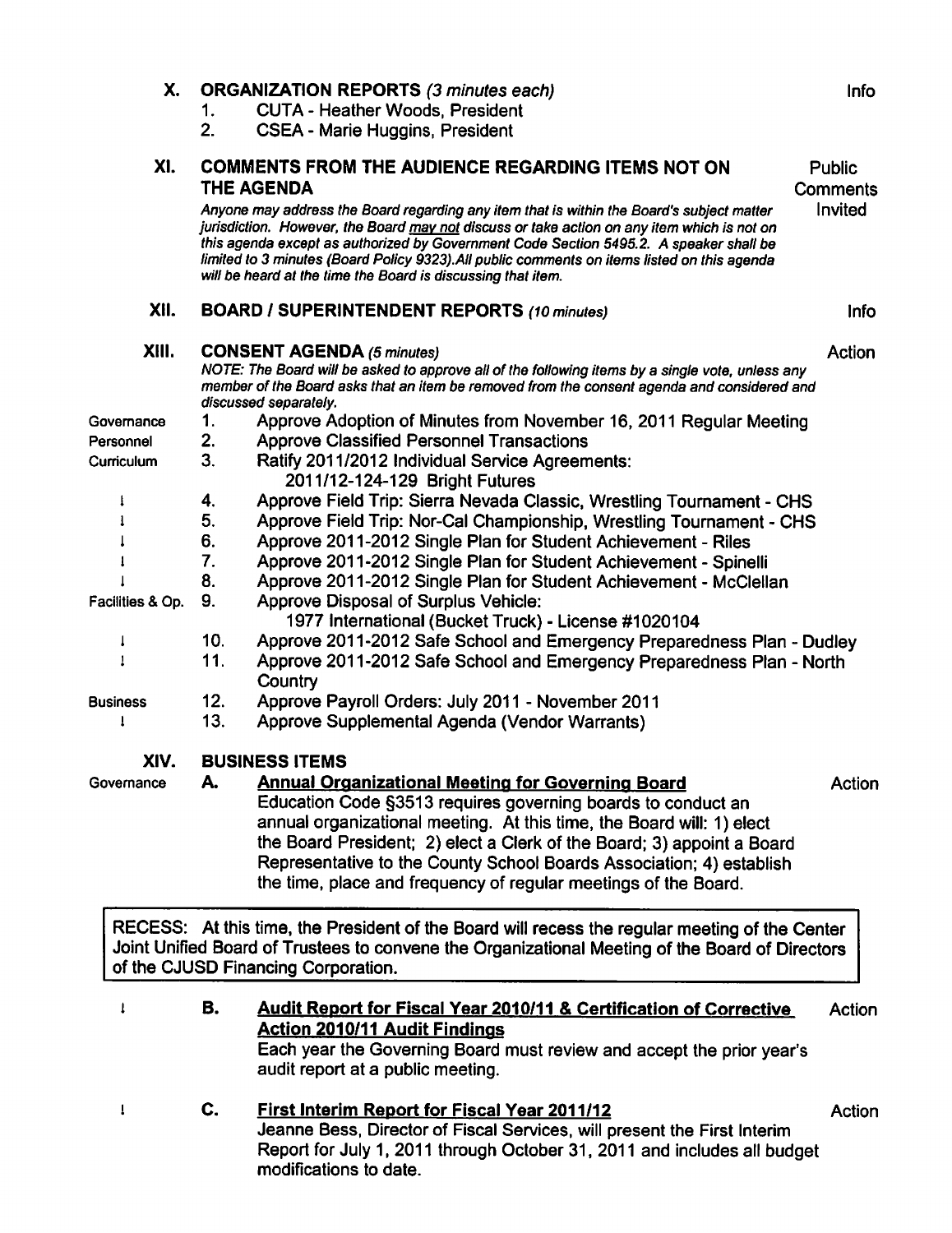| Х.               | 1.<br>2.                                                                                                                                                                                                                                                                                                                                                                                                                                           | <b>ORGANIZATION REPORTS (3 minutes each)</b><br><b>CUTA - Heather Woods, President</b><br><b>CSEA - Marie Huggins, President</b>                                                                                                                                        | Info               |
|------------------|----------------------------------------------------------------------------------------------------------------------------------------------------------------------------------------------------------------------------------------------------------------------------------------------------------------------------------------------------------------------------------------------------------------------------------------------------|-------------------------------------------------------------------------------------------------------------------------------------------------------------------------------------------------------------------------------------------------------------------------|--------------------|
| XI.              |                                                                                                                                                                                                                                                                                                                                                                                                                                                    | <b>COMMENTS FROM THE AUDIENCE REGARDING ITEMS NOT ON</b><br>THE AGENDA                                                                                                                                                                                                  | Public<br>Comments |
|                  | Anyone may address the Board regarding any item that is within the Board's subject matter<br>jurisdiction. However, the Board may not discuss or take action on any item which is not on<br>this agenda except as authorized by Government Code Section 5495.2. A speaker shall be<br>limited to 3 minutes (Board Policy 9323). All public comments on items listed on this agenda<br>will be heard at the time the Board is discussing that item. |                                                                                                                                                                                                                                                                         | Invited            |
| XII.             |                                                                                                                                                                                                                                                                                                                                                                                                                                                    | <b>BOARD / SUPERINTENDENT REPORTS (10 minutes)</b>                                                                                                                                                                                                                      | <b>Info</b>        |
| XIII.            |                                                                                                                                                                                                                                                                                                                                                                                                                                                    | <b>CONSENT AGENDA (5 minutes)</b><br>Action<br>NOTE: The Board will be asked to approve all of the following items by a single vote, unless any<br>member of the Board asks that an item be removed from the consent agenda and considered and<br>discussed separately. |                    |
| Governance       | 1.                                                                                                                                                                                                                                                                                                                                                                                                                                                 | Approve Adoption of Minutes from November 16, 2011 Regular Meeting                                                                                                                                                                                                      |                    |
| Personnel        | 2.                                                                                                                                                                                                                                                                                                                                                                                                                                                 | <b>Approve Classified Personnel Transactions</b>                                                                                                                                                                                                                        |                    |
| Curriculum       | 3.                                                                                                                                                                                                                                                                                                                                                                                                                                                 | Ratify 2011/2012 Individual Service Agreements:<br>2011/12-124-129 Bright Futures                                                                                                                                                                                       |                    |
|                  | 4.                                                                                                                                                                                                                                                                                                                                                                                                                                                 | Approve Field Trip: Sierra Nevada Classic, Wrestling Tournament - CHS                                                                                                                                                                                                   |                    |
|                  | 5.                                                                                                                                                                                                                                                                                                                                                                                                                                                 | Approve Field Trip: Nor-Cal Championship, Wrestling Tournament - CHS                                                                                                                                                                                                    |                    |
|                  | 6.                                                                                                                                                                                                                                                                                                                                                                                                                                                 | Approve 2011-2012 Single Plan for Student Achievement - Riles                                                                                                                                                                                                           |                    |
|                  | 7.                                                                                                                                                                                                                                                                                                                                                                                                                                                 | Approve 2011-2012 Single Plan for Student Achievement - Spinelli                                                                                                                                                                                                        |                    |
|                  | 8.                                                                                                                                                                                                                                                                                                                                                                                                                                                 | Approve 2011-2012 Single Plan for Student Achievement - McClellan                                                                                                                                                                                                       |                    |
| Facilities & Op. | 9.                                                                                                                                                                                                                                                                                                                                                                                                                                                 | Approve Disposal of Surplus Vehicle:<br>1977 International (Bucket Truck) - License #1020104                                                                                                                                                                            |                    |
| J                | 10.                                                                                                                                                                                                                                                                                                                                                                                                                                                | Approve 2011-2012 Safe School and Emergency Preparedness Plan - Dudley                                                                                                                                                                                                  |                    |
|                  | 11.                                                                                                                                                                                                                                                                                                                                                                                                                                                | Approve 2011-2012 Safe School and Emergency Preparedness Plan - North<br>Country                                                                                                                                                                                        |                    |
| <b>Business</b>  | 12.                                                                                                                                                                                                                                                                                                                                                                                                                                                | Approve Payroll Orders: July 2011 - November 2011                                                                                                                                                                                                                       |                    |
|                  | 13.                                                                                                                                                                                                                                                                                                                                                                                                                                                | Approve Supplemental Agenda (Vendor Warrants)                                                                                                                                                                                                                           |                    |
| XIV.             |                                                                                                                                                                                                                                                                                                                                                                                                                                                    | <b>BUSINESS ITEMS</b>                                                                                                                                                                                                                                                   |                    |
| Governance       | А.                                                                                                                                                                                                                                                                                                                                                                                                                                                 | <b>Annual Organizational Meeting for Governing Board</b>                                                                                                                                                                                                                | Action             |
|                  |                                                                                                                                                                                                                                                                                                                                                                                                                                                    | Education Code §3513 requires governing boards to conduct an                                                                                                                                                                                                            |                    |
|                  |                                                                                                                                                                                                                                                                                                                                                                                                                                                    | annual organizational meeting. At this time, the Board will: 1) elect                                                                                                                                                                                                   |                    |
|                  |                                                                                                                                                                                                                                                                                                                                                                                                                                                    | the Board President; 2) elect a Clerk of the Board; 3) appoint a Board<br>Representative to the County School Boards Association; 4) establish                                                                                                                          |                    |
|                  |                                                                                                                                                                                                                                                                                                                                                                                                                                                    | the time, place and frequency of regular meetings of the Board.                                                                                                                                                                                                         |                    |
|                  |                                                                                                                                                                                                                                                                                                                                                                                                                                                    |                                                                                                                                                                                                                                                                         |                    |
|                  |                                                                                                                                                                                                                                                                                                                                                                                                                                                    | RECESS: At this time, the President of the Board will recess the regular meeting of the Center<br>Joint Unified Board of Trustees to convene the Organizational Meeting of the Board of Directors<br>of the CJUSD Financing Corporation.                                |                    |
|                  |                                                                                                                                                                                                                                                                                                                                                                                                                                                    |                                                                                                                                                                                                                                                                         |                    |
| 1                | В.                                                                                                                                                                                                                                                                                                                                                                                                                                                 | Audit Report for Fiscal Year 2010/11 & Certification of Corrective                                                                                                                                                                                                      | Action             |
|                  |                                                                                                                                                                                                                                                                                                                                                                                                                                                    | <b>Action 2010/11 Audit Findings</b><br>Each year the Governing Board must review and accept the prior year's<br>audit report at a public meeting.                                                                                                                      |                    |
|                  | C.                                                                                                                                                                                                                                                                                                                                                                                                                                                 | <b>First Interim Report for Fiscal Year 2011/12</b><br>Jeanne Bess, Director of Fiscal Services, will present the First Interim<br>Report for July 1, 2011 through October 31, 2011 and includes all budget<br>modifications to date.                                   | Action             |